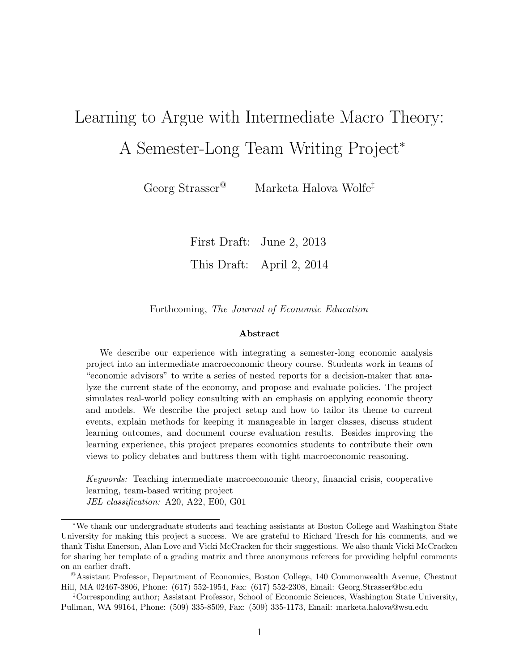# Learning to Argue with Intermediate Macro Theory: A Semester-Long Team Writing Project<sup>∗</sup>

Georg Strasser@ Marketa Halova Wolfe‡

First Draft: June 2, 2013

This Draft: April 2, 2014

Forthcoming, The Journal of Economic Education

#### Abstract

We describe our experience with integrating a semester-long economic analysis project into an intermediate macroeconomic theory course. Students work in teams of "economic advisors" to write a series of nested reports for a decision-maker that analyze the current state of the economy, and propose and evaluate policies. The project simulates real-world policy consulting with an emphasis on applying economic theory and models. We describe the project setup and how to tailor its theme to current events, explain methods for keeping it manageable in larger classes, discuss student learning outcomes, and document course evaluation results. Besides improving the learning experience, this project prepares economics students to contribute their own views to policy debates and buttress them with tight macroeconomic reasoning.

Keywords: Teaching intermediate macroeconomic theory, financial crisis, cooperative learning, team-based writing project JEL classification: A20, A22, E00, G01

<sup>∗</sup>We thank our undergraduate students and teaching assistants at Boston College and Washington State University for making this project a success. We are grateful to Richard Tresch for his comments, and we thank Tisha Emerson, Alan Love and Vicki McCracken for their suggestions. We also thank Vicki McCracken for sharing her template of a grading matrix and three anonymous referees for providing helpful comments on an earlier draft.

<sup>@</sup>Assistant Professor, Department of Economics, Boston College, 140 Commonwealth Avenue, Chestnut Hill, MA 02467-3806, Phone: (617) 552-1954, Fax: (617) 552-2308, Email: Georg.Strasser@bc.edu

<sup>‡</sup>Corresponding author; Assistant Professor, School of Economic Sciences, Washington State University, Pullman, WA 99164, Phone: (509) 335-8509, Fax: (509) 335-1173, Email: marketa.halova@wsu.edu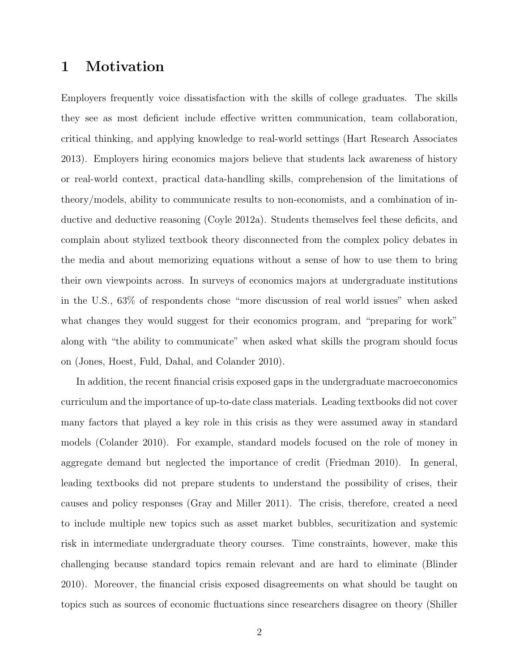## 1 Motivation

Employers frequently voice dissatisfaction with the skills of college graduates. The skills they see as most deficient include effective written communication, team collaboration, critical thinking, and applying knowledge to real-world settings (Hart Research Associates 2013). Employers hiring economics majors believe that students lack awareness of history or real-world context, practical data-handling skills, comprehension of the limitations of theory/models, ability to communicate results to non-economists, and a combination of inductive and deductive reasoning (Coyle 2012a). Students themselves feel these deficits, and complain about stylized textbook theory disconnected from the complex policy debates in the media and about memorizing equations without a sense of how to use them to bring their own viewpoints across. In surveys of economics majors at undergraduate institutions in the U.S., 63% of respondents chose "more discussion of real world issues" when asked what changes they would suggest for their economics program, and "preparing for work" along with "the ability to communicate" when asked what skills the program should focus on (Jones, Hoest, Fuld, Dahal, and Colander 2010).

In addition, the recent financial crisis exposed gaps in the undergraduate macroeconomics curriculum and the importance of up-to-date class materials. Leading textbooks did not cover many factors that played a key role in this crisis as they were assumed away in standard models (Colander 2010). For example, standard models focused on the role of money in aggregate demand but neglected the importance of credit (Friedman 2010). In general, leading textbooks did not prepare students to understand the possibility of crises, their causes and policy responses (Gray and Miller 2011). The crisis, therefore, created a need to include multiple new topics such as asset market bubbles, securitization and systemic risk in intermediate undergraduate theory courses. Time constraints, however, make this challenging because standard topics remain relevant and are hard to eliminate (Blinder 2010). Moreover, the financial crisis exposed disagreements on what should be taught on topics such as sources of economic fluctuations since researchers disagree on theory (Shiller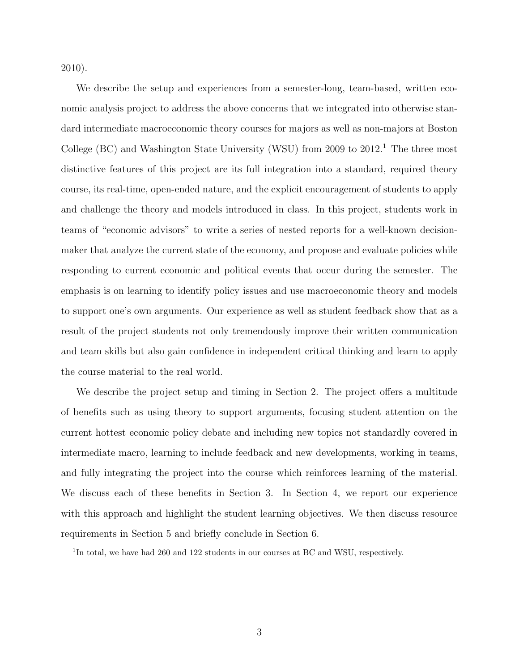2010).

We describe the setup and experiences from a semester-long, team-based, written economic analysis project to address the above concerns that we integrated into otherwise standard intermediate macroeconomic theory courses for majors as well as non-majors at Boston College (BC) and Washington State University (WSU) from 2009 to  $2012<sup>1</sup>$ . The three most distinctive features of this project are its full integration into a standard, required theory course, its real-time, open-ended nature, and the explicit encouragement of students to apply and challenge the theory and models introduced in class. In this project, students work in teams of "economic advisors" to write a series of nested reports for a well-known decisionmaker that analyze the current state of the economy, and propose and evaluate policies while responding to current economic and political events that occur during the semester. The emphasis is on learning to identify policy issues and use macroeconomic theory and models to support one's own arguments. Our experience as well as student feedback show that as a result of the project students not only tremendously improve their written communication and team skills but also gain confidence in independent critical thinking and learn to apply the course material to the real world.

We describe the project setup and timing in Section 2. The project offers a multitude of benefits such as using theory to support arguments, focusing student attention on the current hottest economic policy debate and including new topics not standardly covered in intermediate macro, learning to include feedback and new developments, working in teams, and fully integrating the project into the course which reinforces learning of the material. We discuss each of these benefits in Section 3. In Section 4, we report our experience with this approach and highlight the student learning objectives. We then discuss resource requirements in Section 5 and briefly conclude in Section 6.

<sup>&</sup>lt;sup>1</sup>In total, we have had 260 and 122 students in our courses at BC and WSU, respectively.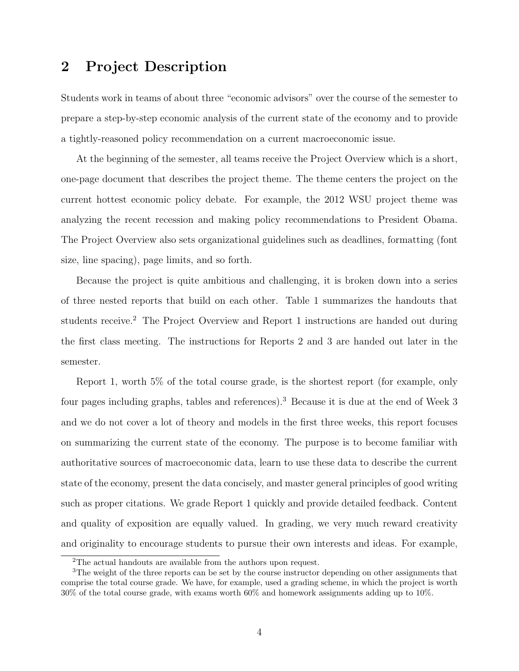## 2 Project Description

Students work in teams of about three "economic advisors" over the course of the semester to prepare a step-by-step economic analysis of the current state of the economy and to provide a tightly-reasoned policy recommendation on a current macroeconomic issue.

At the beginning of the semester, all teams receive the Project Overview which is a short, one-page document that describes the project theme. The theme centers the project on the current hottest economic policy debate. For example, the 2012 WSU project theme was analyzing the recent recession and making policy recommendations to President Obama. The Project Overview also sets organizational guidelines such as deadlines, formatting (font size, line spacing), page limits, and so forth.

Because the project is quite ambitious and challenging, it is broken down into a series of three nested reports that build on each other. Table 1 summarizes the handouts that students receive.<sup>2</sup> The Project Overview and Report 1 instructions are handed out during the first class meeting. The instructions for Reports 2 and 3 are handed out later in the semester.

Report 1, worth 5% of the total course grade, is the shortest report (for example, only four pages including graphs, tables and references).<sup>3</sup> Because it is due at the end of Week 3 and we do not cover a lot of theory and models in the first three weeks, this report focuses on summarizing the current state of the economy. The purpose is to become familiar with authoritative sources of macroeconomic data, learn to use these data to describe the current state of the economy, present the data concisely, and master general principles of good writing such as proper citations. We grade Report 1 quickly and provide detailed feedback. Content and quality of exposition are equally valued. In grading, we very much reward creativity and originality to encourage students to pursue their own interests and ideas. For example,

<sup>2</sup>The actual handouts are available from the authors upon request.

<sup>&</sup>lt;sup>3</sup>The weight of the three reports can be set by the course instructor depending on other assignments that comprise the total course grade. We have, for example, used a grading scheme, in which the project is worth 30% of the total course grade, with exams worth 60% and homework assignments adding up to 10%.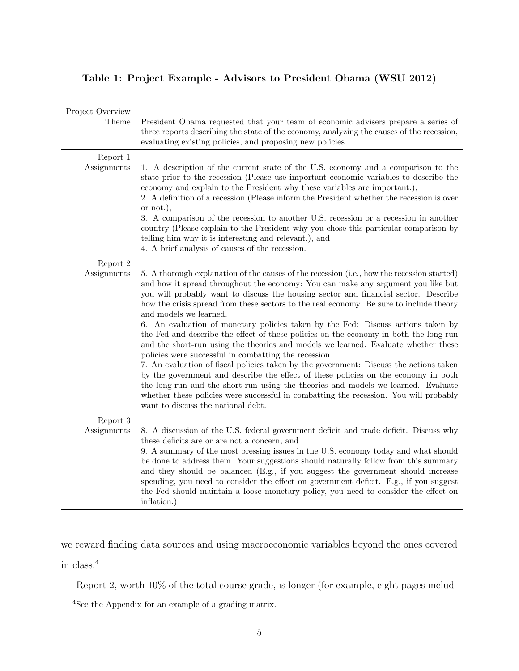### Table 1: Project Example - Advisors to President Obama (WSU 2012)

| Project Overview<br>Theme | President Obama requested that your team of economic advisers prepare a series of<br>three reports describing the state of the economy, analyzing the causes of the recession,<br>evaluating existing policies, and proposing new policies.                                                                                                                                                                                                                                                                                                                                                                                                                                                                                                                                                                                                                                                                                                                                                                                                                                                                                |
|---------------------------|----------------------------------------------------------------------------------------------------------------------------------------------------------------------------------------------------------------------------------------------------------------------------------------------------------------------------------------------------------------------------------------------------------------------------------------------------------------------------------------------------------------------------------------------------------------------------------------------------------------------------------------------------------------------------------------------------------------------------------------------------------------------------------------------------------------------------------------------------------------------------------------------------------------------------------------------------------------------------------------------------------------------------------------------------------------------------------------------------------------------------|
| Report 1<br>Assignments   | 1. A description of the current state of the U.S. economy and a comparison to the<br>state prior to the recession (Please use important economic variables to describe the<br>economy and explain to the President why these variables are important.),<br>2. A definition of a recession (Please inform the President whether the recession is over<br>or not.),<br>3. A comparison of the recession to another U.S. recession or a recession in another<br>country (Please explain to the President why you chose this particular comparison by<br>telling him why it is interesting and relevant.), and<br>4. A brief analysis of causes of the recession.                                                                                                                                                                                                                                                                                                                                                                                                                                                              |
| Report 2<br>Assignments   | 5. A thorough explanation of the causes of the recession (i.e., how the recession started)<br>and how it spread throughout the economy: You can make any argument you like but<br>you will probably want to discuss the housing sector and financial sector. Describe<br>how the crisis spread from these sectors to the real economy. Be sure to include theory<br>and models we learned.<br>6. An evaluation of monetary policies taken by the Fed: Discuss actions taken by<br>the Fed and describe the effect of these policies on the economy in both the long-run<br>and the short-run using the theories and models we learned. Evaluate whether these<br>policies were successful in combatting the recession.<br>7. An evaluation of fiscal policies taken by the government: Discuss the actions taken<br>by the government and describe the effect of these policies on the economy in both<br>the long-run and the short-run using the theories and models we learned. Evaluate<br>whether these policies were successful in combatting the recession. You will probably<br>want to discuss the national debt. |
| Report 3<br>Assignments   | 8. A discussion of the U.S. federal government deficit and trade deficit. Discuss why<br>these deficits are or are not a concern, and<br>9. A summary of the most pressing issues in the U.S. economy today and what should<br>be done to address them. Your suggestions should naturally follow from this summary<br>and they should be balanced (E.g., if you suggest the government should increase<br>spending, you need to consider the effect on government deficit. E.g., if you suggest<br>the Fed should maintain a loose monetary policy, you need to consider the effect on<br>inflation.)                                                                                                                                                                                                                                                                                                                                                                                                                                                                                                                      |

we reward finding data sources and using macroeconomic variables beyond the ones covered in class.<sup>4</sup>

Report 2, worth 10% of the total course grade, is longer (for example, eight pages includ-

<sup>&</sup>lt;sup>4</sup>See the Appendix for an example of a grading matrix.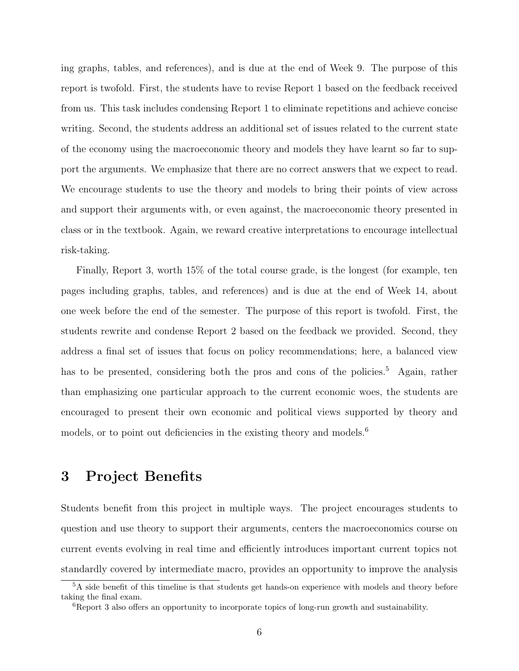ing graphs, tables, and references), and is due at the end of Week 9. The purpose of this report is twofold. First, the students have to revise Report 1 based on the feedback received from us. This task includes condensing Report 1 to eliminate repetitions and achieve concise writing. Second, the students address an additional set of issues related to the current state of the economy using the macroeconomic theory and models they have learnt so far to support the arguments. We emphasize that there are no correct answers that we expect to read. We encourage students to use the theory and models to bring their points of view across and support their arguments with, or even against, the macroeconomic theory presented in class or in the textbook. Again, we reward creative interpretations to encourage intellectual risk-taking.

Finally, Report 3, worth 15% of the total course grade, is the longest (for example, ten pages including graphs, tables, and references) and is due at the end of Week 14, about one week before the end of the semester. The purpose of this report is twofold. First, the students rewrite and condense Report 2 based on the feedback we provided. Second, they address a final set of issues that focus on policy recommendations; here, a balanced view has to be presented, considering both the pros and cons of the policies.<sup>5</sup> Again, rather than emphasizing one particular approach to the current economic woes, the students are encouraged to present their own economic and political views supported by theory and models, or to point out deficiencies in the existing theory and models.<sup>6</sup>

# 3 Project Benefits

Students benefit from this project in multiple ways. The project encourages students to question and use theory to support their arguments, centers the macroeconomics course on current events evolving in real time and efficiently introduces important current topics not standardly covered by intermediate macro, provides an opportunity to improve the analysis

<sup>5</sup>A side benefit of this timeline is that students get hands-on experience with models and theory before taking the final exam.

<sup>6</sup>Report 3 also offers an opportunity to incorporate topics of long-run growth and sustainability.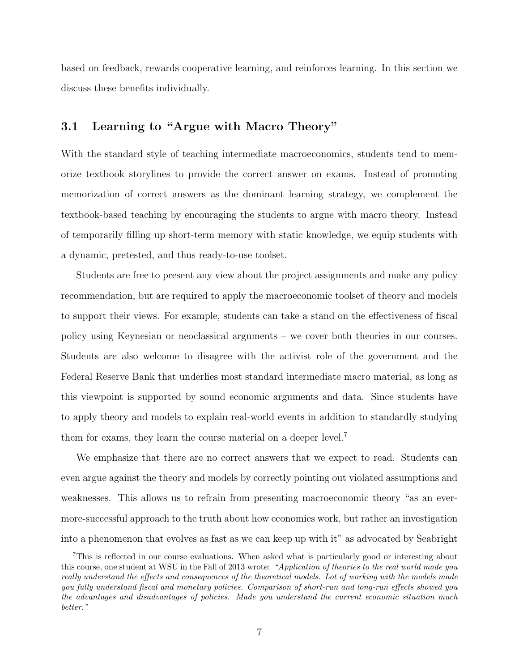based on feedback, rewards cooperative learning, and reinforces learning. In this section we discuss these benefits individually.

## 3.1 Learning to "Argue with Macro Theory"

With the standard style of teaching intermediate macroeconomics, students tend to memorize textbook storylines to provide the correct answer on exams. Instead of promoting memorization of correct answers as the dominant learning strategy, we complement the textbook-based teaching by encouraging the students to argue with macro theory. Instead of temporarily filling up short-term memory with static knowledge, we equip students with a dynamic, pretested, and thus ready-to-use toolset.

Students are free to present any view about the project assignments and make any policy recommendation, but are required to apply the macroeconomic toolset of theory and models to support their views. For example, students can take a stand on the effectiveness of fiscal policy using Keynesian or neoclassical arguments – we cover both theories in our courses. Students are also welcome to disagree with the activist role of the government and the Federal Reserve Bank that underlies most standard intermediate macro material, as long as this viewpoint is supported by sound economic arguments and data. Since students have to apply theory and models to explain real-world events in addition to standardly studying them for exams, they learn the course material on a deeper level.<sup>7</sup>

We emphasize that there are no correct answers that we expect to read. Students can even argue against the theory and models by correctly pointing out violated assumptions and weaknesses. This allows us to refrain from presenting macroeconomic theory "as an evermore-successful approach to the truth about how economies work, but rather an investigation into a phenomenon that evolves as fast as we can keep up with it" as advocated by Seabright

<sup>7</sup>This is reflected in our course evaluations. When asked what is particularly good or interesting about this course, one student at WSU in the Fall of 2013 wrote: "Application of theories to the real world made you really understand the effects and consequences of the theoretical models. Lot of working with the models made you fully understand fiscal and monetary policies. Comparison of short-run and long-run effects showed you the advantages and disadvantages of policies. Made you understand the current economic situation much better."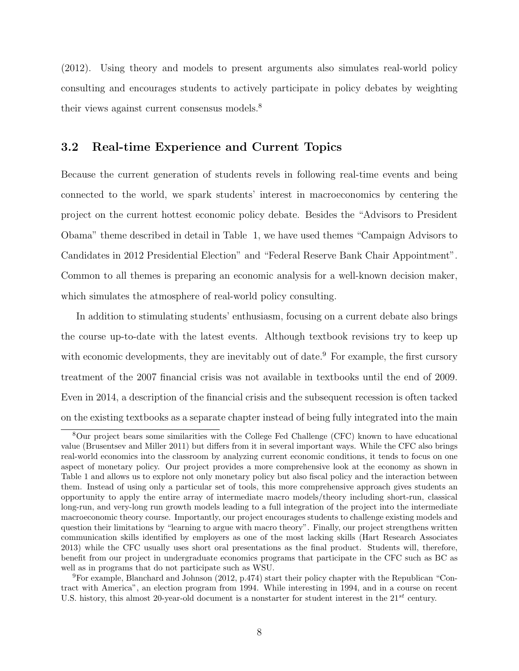(2012). Using theory and models to present arguments also simulates real-world policy consulting and encourages students to actively participate in policy debates by weighting their views against current consensus models.<sup>8</sup>

#### 3.2 Real-time Experience and Current Topics

Because the current generation of students revels in following real-time events and being connected to the world, we spark students' interest in macroeconomics by centering the project on the current hottest economic policy debate. Besides the "Advisors to President Obama" theme described in detail in Table 1, we have used themes "Campaign Advisors to Candidates in 2012 Presidential Election" and "Federal Reserve Bank Chair Appointment". Common to all themes is preparing an economic analysis for a well-known decision maker, which simulates the atmosphere of real-world policy consulting.

In addition to stimulating students' enthusiasm, focusing on a current debate also brings the course up-to-date with the latest events. Although textbook revisions try to keep up with economic developments, they are inevitably out of date.<sup>9</sup> For example, the first cursory treatment of the 2007 financial crisis was not available in textbooks until the end of 2009. Even in 2014, a description of the financial crisis and the subsequent recession is often tacked on the existing textbooks as a separate chapter instead of being fully integrated into the main

<sup>8</sup>Our project bears some similarities with the College Fed Challenge (CFC) known to have educational value (Brusentsev and Miller 2011) but differs from it in several important ways. While the CFC also brings real-world economics into the classroom by analyzing current economic conditions, it tends to focus on one aspect of monetary policy. Our project provides a more comprehensive look at the economy as shown in Table 1 and allows us to explore not only monetary policy but also fiscal policy and the interaction between them. Instead of using only a particular set of tools, this more comprehensive approach gives students an opportunity to apply the entire array of intermediate macro models/theory including short-run, classical long-run, and very-long run growth models leading to a full integration of the project into the intermediate macroeconomic theory course. Importantly, our project encourages students to challenge existing models and question their limitations by "learning to argue with macro theory". Finally, our project strengthens written communication skills identified by employers as one of the most lacking skills (Hart Research Associates 2013) while the CFC usually uses short oral presentations as the final product. Students will, therefore, benefit from our project in undergraduate economics programs that participate in the CFC such as BC as well as in programs that do not participate such as WSU.

<sup>9</sup>For example, Blanchard and Johnson (2012, p.474) start their policy chapter with the Republican "Contract with America", an election program from 1994. While interesting in 1994, and in a course on recent U.S. history, this almost 20-year-old document is a nonstarter for student interest in the  $21^{st}$  century.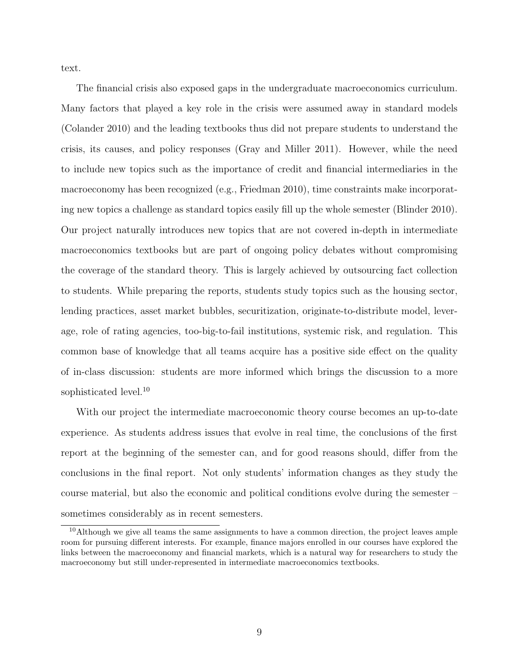text.

The financial crisis also exposed gaps in the undergraduate macroeconomics curriculum. Many factors that played a key role in the crisis were assumed away in standard models (Colander 2010) and the leading textbooks thus did not prepare students to understand the crisis, its causes, and policy responses (Gray and Miller 2011). However, while the need to include new topics such as the importance of credit and financial intermediaries in the macroeconomy has been recognized (e.g., Friedman 2010), time constraints make incorporating new topics a challenge as standard topics easily fill up the whole semester (Blinder 2010). Our project naturally introduces new topics that are not covered in-depth in intermediate macroeconomics textbooks but are part of ongoing policy debates without compromising the coverage of the standard theory. This is largely achieved by outsourcing fact collection to students. While preparing the reports, students study topics such as the housing sector, lending practices, asset market bubbles, securitization, originate-to-distribute model, leverage, role of rating agencies, too-big-to-fail institutions, systemic risk, and regulation. This common base of knowledge that all teams acquire has a positive side effect on the quality of in-class discussion: students are more informed which brings the discussion to a more sophisticated level.<sup>10</sup>

With our project the intermediate macroeconomic theory course becomes an up-to-date experience. As students address issues that evolve in real time, the conclusions of the first report at the beginning of the semester can, and for good reasons should, differ from the conclusions in the final report. Not only students' information changes as they study the course material, but also the economic and political conditions evolve during the semester – sometimes considerably as in recent semesters.

 $10$ Although we give all teams the same assignments to have a common direction, the project leaves ample room for pursuing different interests. For example, finance majors enrolled in our courses have explored the links between the macroeconomy and financial markets, which is a natural way for researchers to study the macroeconomy but still under-represented in intermediate macroeconomics textbooks.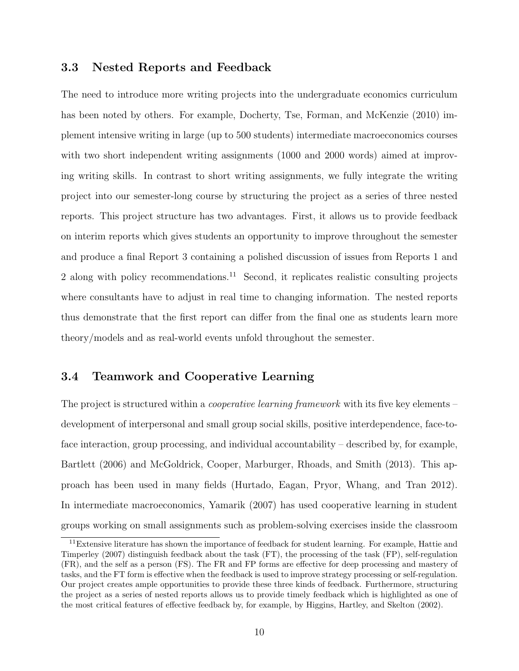#### 3.3 Nested Reports and Feedback

The need to introduce more writing projects into the undergraduate economics curriculum has been noted by others. For example, Docherty, Tse, Forman, and McKenzie (2010) implement intensive writing in large (up to 500 students) intermediate macroeconomics courses with two short independent writing assignments (1000 and 2000 words) aimed at improving writing skills. In contrast to short writing assignments, we fully integrate the writing project into our semester-long course by structuring the project as a series of three nested reports. This project structure has two advantages. First, it allows us to provide feedback on interim reports which gives students an opportunity to improve throughout the semester and produce a final Report 3 containing a polished discussion of issues from Reports 1 and 2 along with policy recommendations.<sup>11</sup> Second, it replicates realistic consulting projects where consultants have to adjust in real time to changing information. The nested reports thus demonstrate that the first report can differ from the final one as students learn more theory/models and as real-world events unfold throughout the semester.

#### 3.4 Teamwork and Cooperative Learning

The project is structured within a *cooperative learning framework* with its five key elements – development of interpersonal and small group social skills, positive interdependence, face-toface interaction, group processing, and individual accountability – described by, for example, Bartlett (2006) and McGoldrick, Cooper, Marburger, Rhoads, and Smith (2013). This approach has been used in many fields (Hurtado, Eagan, Pryor, Whang, and Tran 2012). In intermediate macroeconomics, Yamarik (2007) has used cooperative learning in student groups working on small assignments such as problem-solving exercises inside the classroom

<sup>&</sup>lt;sup>11</sup>Extensive literature has shown the importance of feedback for student learning. For example, Hattie and Timperley (2007) distinguish feedback about the task (FT), the processing of the task (FP), self-regulation (FR), and the self as a person (FS). The FR and FP forms are effective for deep processing and mastery of tasks, and the FT form is effective when the feedback is used to improve strategy processing or self-regulation. Our project creates ample opportunities to provide these three kinds of feedback. Furthermore, structuring the project as a series of nested reports allows us to provide timely feedback which is highlighted as one of the most critical features of effective feedback by, for example, by Higgins, Hartley, and Skelton (2002).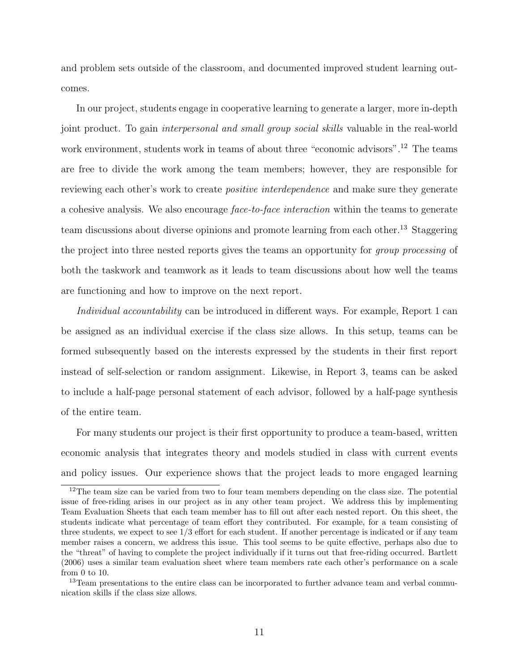and problem sets outside of the classroom, and documented improved student learning outcomes.

In our project, students engage in cooperative learning to generate a larger, more in-depth joint product. To gain *interpersonal and small group social skills* valuable in the real-world work environment, students work in teams of about three "economic advisors".<sup>12</sup> The teams are free to divide the work among the team members; however, they are responsible for reviewing each other's work to create *positive interdependence* and make sure they generate a cohesive analysis. We also encourage face-to-face interaction within the teams to generate team discussions about diverse opinions and promote learning from each other.<sup>13</sup> Staggering the project into three nested reports gives the teams an opportunity for group processing of both the taskwork and teamwork as it leads to team discussions about how well the teams are functioning and how to improve on the next report.

Individual accountability can be introduced in different ways. For example, Report 1 can be assigned as an individual exercise if the class size allows. In this setup, teams can be formed subsequently based on the interests expressed by the students in their first report instead of self-selection or random assignment. Likewise, in Report 3, teams can be asked to include a half-page personal statement of each advisor, followed by a half-page synthesis of the entire team.

For many students our project is their first opportunity to produce a team-based, written economic analysis that integrates theory and models studied in class with current events and policy issues. Our experience shows that the project leads to more engaged learning

<sup>&</sup>lt;sup>12</sup>The team size can be varied from two to four team members depending on the class size. The potential issue of free-riding arises in our project as in any other team project. We address this by implementing Team Evaluation Sheets that each team member has to fill out after each nested report. On this sheet, the students indicate what percentage of team effort they contributed. For example, for a team consisting of three students, we expect to see 1/3 effort for each student. If another percentage is indicated or if any team member raises a concern, we address this issue. This tool seems to be quite effective, perhaps also due to the "threat" of having to complete the project individually if it turns out that free-riding occurred. Bartlett (2006) uses a similar team evaluation sheet where team members rate each other's performance on a scale from 0 to 10.

<sup>&</sup>lt;sup>13</sup>Team presentations to the entire class can be incorporated to further advance team and verbal communication skills if the class size allows.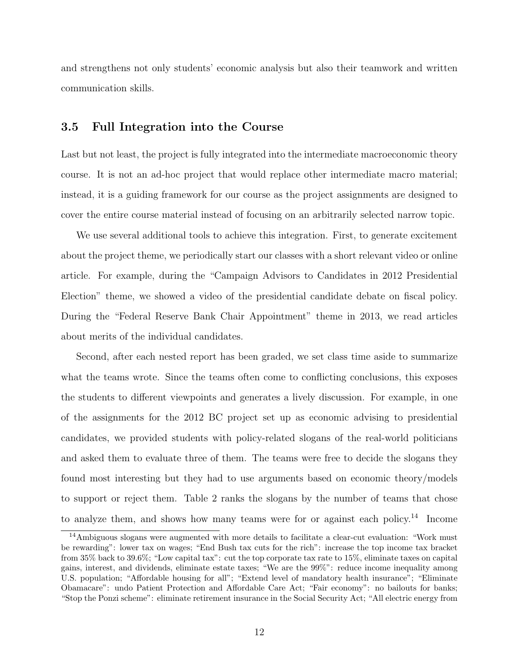and strengthens not only students' economic analysis but also their teamwork and written communication skills.

#### 3.5 Full Integration into the Course

Last but not least, the project is fully integrated into the intermediate macroeconomic theory course. It is not an ad-hoc project that would replace other intermediate macro material; instead, it is a guiding framework for our course as the project assignments are designed to cover the entire course material instead of focusing on an arbitrarily selected narrow topic.

We use several additional tools to achieve this integration. First, to generate excitement about the project theme, we periodically start our classes with a short relevant video or online article. For example, during the "Campaign Advisors to Candidates in 2012 Presidential Election" theme, we showed a video of the presidential candidate debate on fiscal policy. During the "Federal Reserve Bank Chair Appointment" theme in 2013, we read articles about merits of the individual candidates.

Second, after each nested report has been graded, we set class time aside to summarize what the teams wrote. Since the teams often come to conflicting conclusions, this exposes the students to different viewpoints and generates a lively discussion. For example, in one of the assignments for the 2012 BC project set up as economic advising to presidential candidates, we provided students with policy-related slogans of the real-world politicians and asked them to evaluate three of them. The teams were free to decide the slogans they found most interesting but they had to use arguments based on economic theory/models to support or reject them. Table 2 ranks the slogans by the number of teams that chose to analyze them, and shows how many teams were for or against each policy.<sup>14</sup> Income

<sup>14</sup>Ambiguous slogans were augmented with more details to facilitate a clear-cut evaluation: "Work must be rewarding": lower tax on wages; "End Bush tax cuts for the rich": increase the top income tax bracket from 35% back to 39.6%; "Low capital tax": cut the top corporate tax rate to 15%, eliminate taxes on capital gains, interest, and dividends, eliminate estate taxes; "We are the 99%": reduce income inequality among U.S. population; "Affordable housing for all"; "Extend level of mandatory health insurance"; "Eliminate Obamacare": undo Patient Protection and Affordable Care Act; "Fair economy": no bailouts for banks; "Stop the Ponzi scheme": eliminate retirement insurance in the Social Security Act; "All electric energy from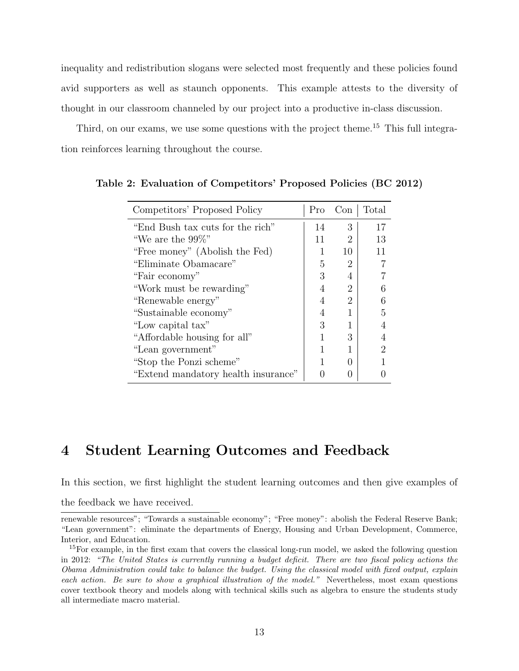inequality and redistribution slogans were selected most frequently and these policies found avid supporters as well as staunch opponents. This example attests to the diversity of thought in our classroom channeled by our project into a productive in-class discussion.

Third, on our exams, we use some questions with the project theme.<sup>15</sup> This full integration reinforces learning throughout the course.

| Competitors' Proposed Policy        | Pro | Con            | Total |
|-------------------------------------|-----|----------------|-------|
| "End Bush tax cuts for the rich"    | 14  | 3              | 17    |
| "We are the $99\%$ "                | 11  | $\overline{2}$ | 13    |
| "Free money" (Abolish the Fed)      |     | 10             | 11    |
| "Eliminate Obamacare"               | 5   | 2              |       |
| "Fair economy"                      | 3   | 4              |       |
| "Work must be rewarding"            |     | 2              |       |
| "Renewable energy"                  |     | 2              |       |
| "Sustainable economy"               | 4   |                | 5     |
| "Low capital tax"                   | 3   |                |       |
| "Affordable housing for all"        |     | 3              |       |
| "Lean government"                   |     |                | 2     |
| "Stop the Ponzi scheme"             |     |                |       |
| "Extend mandatory health insurance" |     |                |       |

Table 2: Evaluation of Competitors' Proposed Policies (BC 2012)

## 4 Student Learning Outcomes and Feedback

In this section, we first highlight the student learning outcomes and then give examples of

the feedback we have received.

renewable resources"; "Towards a sustainable economy"; "Free money": abolish the Federal Reserve Bank; "Lean government": eliminate the departments of Energy, Housing and Urban Development, Commerce, Interior, and Education.

<sup>&</sup>lt;sup>15</sup>For example, in the first exam that covers the classical long-run model, we asked the following question in 2012: "The United States is currently running a budget deficit. There are two fiscal policy actions the Obama Administration could take to balance the budget. Using the classical model with fixed output, explain each action. Be sure to show a graphical illustration of the model." Nevertheless, most exam questions cover textbook theory and models along with technical skills such as algebra to ensure the students study all intermediate macro material.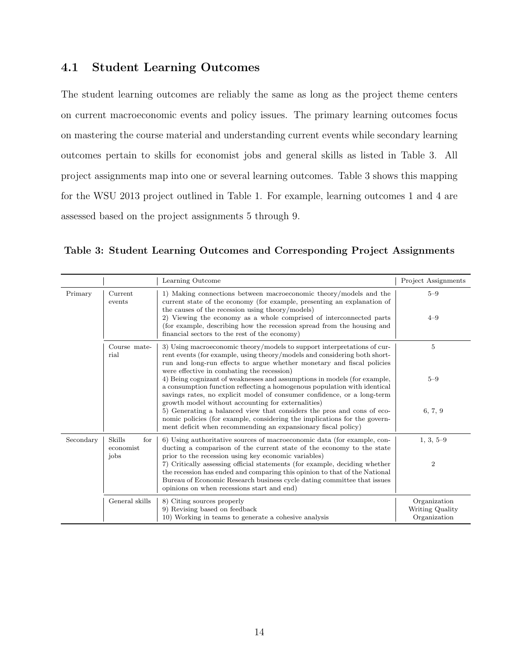## 4.1 Student Learning Outcomes

The student learning outcomes are reliably the same as long as the project theme centers on current macroeconomic events and policy issues. The primary learning outcomes focus on mastering the course material and understanding current events while secondary learning outcomes pertain to skills for economist jobs and general skills as listed in Table 3. All project assignments map into one or several learning outcomes. Table 3 shows this mapping for the WSU 2013 project outlined in Table 1. For example, learning outcomes 1 and 4 are assessed based on the project assignments 5 through 9.

Table 3: Student Learning Outcomes and Corresponding Project Assignments

|           |                                           | Learning Outcome                                                                                                                                                                                                                                                                                                                                                                                                                                                                                                                                                                                                                                                                                                                                                                              | Project Assignments                             |
|-----------|-------------------------------------------|-----------------------------------------------------------------------------------------------------------------------------------------------------------------------------------------------------------------------------------------------------------------------------------------------------------------------------------------------------------------------------------------------------------------------------------------------------------------------------------------------------------------------------------------------------------------------------------------------------------------------------------------------------------------------------------------------------------------------------------------------------------------------------------------------|-------------------------------------------------|
| Primary   | Current<br>events                         | 1) Making connections between macroeconomic theory/models and the<br>current state of the economy (for example, presenting an explanation of<br>the causes of the recession using theory/models)<br>2) Viewing the economy as a whole comprised of interconnected parts<br>(for example, describing how the recession spread from the housing and<br>financial sectors to the rest of the economy)                                                                                                                                                                                                                                                                                                                                                                                            | $5 - 9$<br>$4 - 9$                              |
|           | Course mate-<br>rial                      | 3) Using macroeconomic theory/models to support interpretations of cur-<br>rent events (for example, using theory/models and considering both short-<br>run and long-run effects to argue whether monetary and fiscal policies<br>were effective in combating the recession)<br>4) Being cognizant of weaknesses and assumptions in models (for example,<br>a consumption function reflecting a homogenous population with identical<br>savings rates, no explicit model of consumer confidence, or a long-term<br>growth model without accounting for externalities)<br>5) Generating a balanced view that considers the pros and cons of eco-<br>nomic policies (for example, considering the implications for the govern-<br>ment deficit when recommending an expansionary fiscal policy) | 5<br>$5 - 9$<br>6, 7, 9                         |
| Secondary | <b>Skills</b><br>for<br>economist<br>jobs | 6) Using authoritative sources of macroeconomic data (for example, con-<br>ducting a comparison of the current state of the economy to the state<br>prior to the recession using key economic variables)<br>7) Critically assessing official statements (for example, deciding whether<br>the recession has ended and comparing this opinion to that of the National<br>Bureau of Economic Research business cycle dating committee that issues<br>opinions on when recessions start and end)                                                                                                                                                                                                                                                                                                 | $1, 3, 5-9$<br>$\overline{2}$                   |
|           | General skills                            | 8) Citing sources properly<br>9) Revising based on feedback<br>10) Working in teams to generate a cohesive analysis                                                                                                                                                                                                                                                                                                                                                                                                                                                                                                                                                                                                                                                                           | Organization<br>Writing Quality<br>Organization |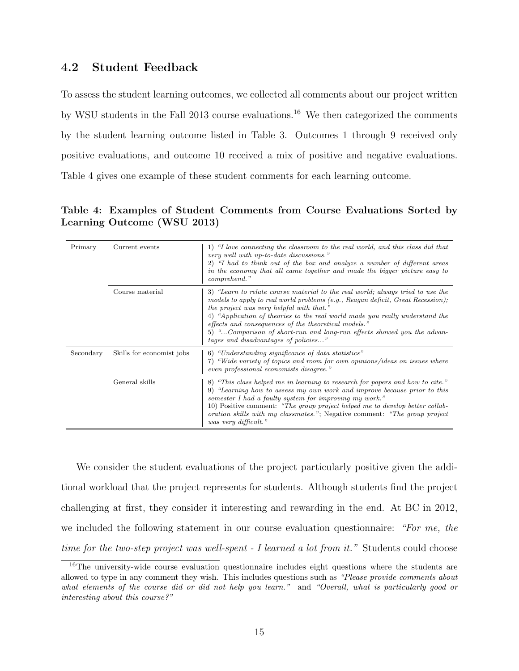### 4.2 Student Feedback

To assess the student learning outcomes, we collected all comments about our project written by WSU students in the Fall 2013 course evaluations.<sup>16</sup> We then categorized the comments by the student learning outcome listed in Table 3. Outcomes 1 through 9 received only positive evaluations, and outcome 10 received a mix of positive and negative evaluations. Table 4 gives one example of these student comments for each learning outcome.

Table 4: Examples of Student Comments from Course Evaluations Sorted by Learning Outcome (WSU 2013)

| Primary   | Current events            | 1) "I love connecting the classroom to the real world, and this class did that<br>very well with up-to-date discussions."<br>2) "I had to think out of the box and analyze a number of different areas<br>in the economy that all came together and made the bigger picture easy to<br>$comprehend.$ "                                                                                                                                                                      |  |  |  |
|-----------|---------------------------|-----------------------------------------------------------------------------------------------------------------------------------------------------------------------------------------------------------------------------------------------------------------------------------------------------------------------------------------------------------------------------------------------------------------------------------------------------------------------------|--|--|--|
|           | Course material           | 3) "Learn to relate course material to the real world; always tried to use the<br>models to apply to real world problems $(e.g., Reagan\;deficit, Great\;Recession);$<br>the project was very helpful with that."<br>4) "Application of theories to the real world made you really understand the<br>effects and consequences of the theoretical models."<br>5) "Comparison of short-run and long-run effects showed you the advan-<br>tages and disadvantages of policies" |  |  |  |
| Secondary | Skills for economist jobs | 6) "Understanding significance of data statistics"<br>7) "Wide variety of topics and room for own opinions/ideas on issues where<br>even professional economists disagree."                                                                                                                                                                                                                                                                                                 |  |  |  |
|           | General skills            | 8) "This class helped me in learning to research for papers and how to cite."<br>9) "Learning how to assess my own work and improve because prior to this<br>semester I had a faulty system for improving my work."<br>10) Positive comment: "The group project helped me to develop better collab-<br>oration skills with my classmates."; Negative comment: "The group project"<br>was very difficult."                                                                   |  |  |  |

We consider the student evaluations of the project particularly positive given the additional workload that the project represents for students. Although students find the project challenging at first, they consider it interesting and rewarding in the end. At BC in 2012, we included the following statement in our course evaluation questionnaire: "For me, the time for the two-step project was well-spent - I learned a lot from it." Students could choose

<sup>16</sup>The university-wide course evaluation questionnaire includes eight questions where the students are allowed to type in any comment they wish. This includes questions such as "Please provide comments about what elements of the course did or did not help you learn." and "Overall, what is particularly good or interesting about this course?"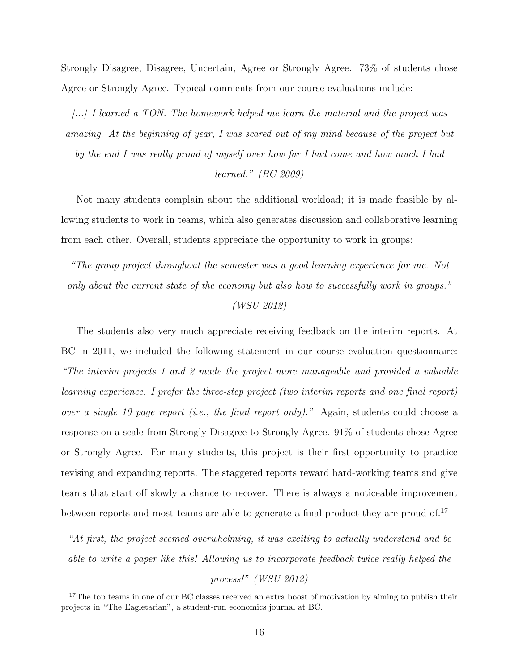Strongly Disagree, Disagree, Uncertain, Agree or Strongly Agree. 73% of students chose Agree or Strongly Agree. Typical comments from our course evaluations include:

 $\ldots$  I learned a TON. The homework helped me learn the material and the project was amazing. At the beginning of year, I was scared out of my mind because of the project but

by the end I was really proud of myself over how far I had come and how much I had

#### learned." (BC 2009)

Not many students complain about the additional workload; it is made feasible by allowing students to work in teams, which also generates discussion and collaborative learning from each other. Overall, students appreciate the opportunity to work in groups:

"The group project throughout the semester was a good learning experience for me. Not only about the current state of the economy but also how to successfully work in groups."

#### (WSU 2012)

The students also very much appreciate receiving feedback on the interim reports. At BC in 2011, we included the following statement in our course evaluation questionnaire: "The interim projects 1 and 2 made the project more manageable and provided a valuable learning experience. I prefer the three-step project (two interim reports and one final report) over a single 10 page report (i.e., the final report only)." Again, students could choose a response on a scale from Strongly Disagree to Strongly Agree. 91% of students chose Agree or Strongly Agree. For many students, this project is their first opportunity to practice revising and expanding reports. The staggered reports reward hard-working teams and give teams that start off slowly a chance to recover. There is always a noticeable improvement between reports and most teams are able to generate a final product they are proud of.<sup>17</sup>

"At first, the project seemed overwhelming, it was exciting to actually understand and be able to write a paper like this! Allowing us to incorporate feedback twice really helped the process!" (WSU 2012)

 $17$ The top teams in one of our BC classes received an extra boost of motivation by aiming to publish their projects in "The Eagletarian", a student-run economics journal at BC.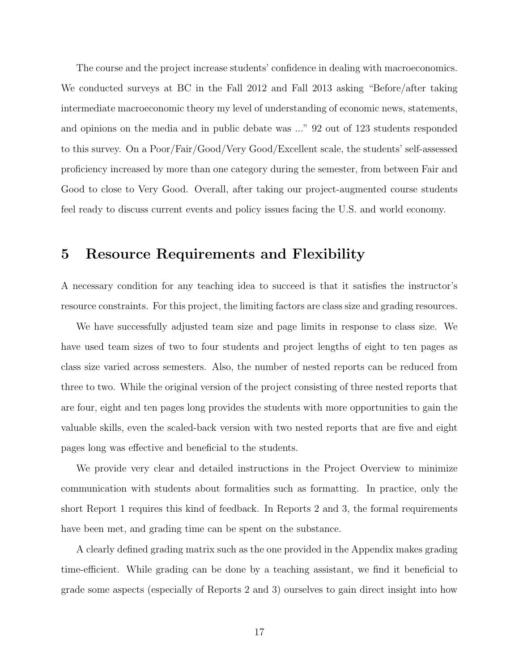The course and the project increase students' confidence in dealing with macroeconomics. We conducted surveys at BC in the Fall 2012 and Fall 2013 asking "Before/after taking intermediate macroeconomic theory my level of understanding of economic news, statements, and opinions on the media and in public debate was ..." 92 out of 123 students responded to this survey. On a Poor/Fair/Good/Very Good/Excellent scale, the students' self-assessed proficiency increased by more than one category during the semester, from between Fair and Good to close to Very Good. Overall, after taking our project-augmented course students feel ready to discuss current events and policy issues facing the U.S. and world economy.

## 5 Resource Requirements and Flexibility

A necessary condition for any teaching idea to succeed is that it satisfies the instructor's resource constraints. For this project, the limiting factors are class size and grading resources.

We have successfully adjusted team size and page limits in response to class size. We have used team sizes of two to four students and project lengths of eight to ten pages as class size varied across semesters. Also, the number of nested reports can be reduced from three to two. While the original version of the project consisting of three nested reports that are four, eight and ten pages long provides the students with more opportunities to gain the valuable skills, even the scaled-back version with two nested reports that are five and eight pages long was effective and beneficial to the students.

We provide very clear and detailed instructions in the Project Overview to minimize communication with students about formalities such as formatting. In practice, only the short Report 1 requires this kind of feedback. In Reports 2 and 3, the formal requirements have been met, and grading time can be spent on the substance.

A clearly defined grading matrix such as the one provided in the Appendix makes grading time-efficient. While grading can be done by a teaching assistant, we find it beneficial to grade some aspects (especially of Reports 2 and 3) ourselves to gain direct insight into how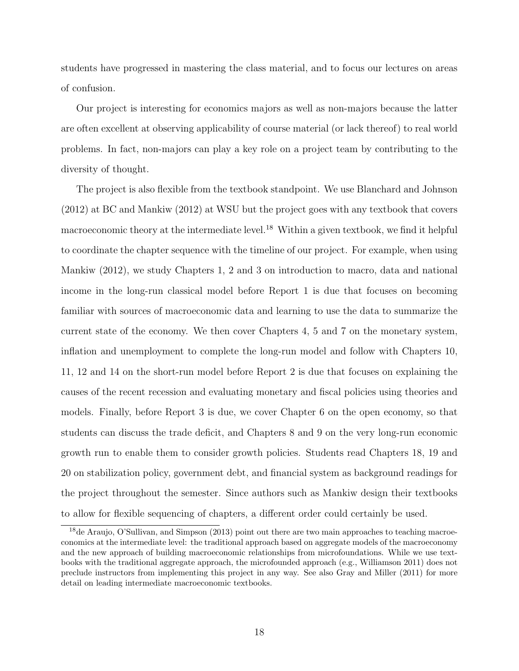students have progressed in mastering the class material, and to focus our lectures on areas of confusion.

Our project is interesting for economics majors as well as non-majors because the latter are often excellent at observing applicability of course material (or lack thereof) to real world problems. In fact, non-majors can play a key role on a project team by contributing to the diversity of thought.

The project is also flexible from the textbook standpoint. We use Blanchard and Johnson (2012) at BC and Mankiw (2012) at WSU but the project goes with any textbook that covers macroeconomic theory at the intermediate level.<sup>18</sup> Within a given textbook, we find it helpful to coordinate the chapter sequence with the timeline of our project. For example, when using Mankiw (2012), we study Chapters 1, 2 and 3 on introduction to macro, data and national income in the long-run classical model before Report 1 is due that focuses on becoming familiar with sources of macroeconomic data and learning to use the data to summarize the current state of the economy. We then cover Chapters 4, 5 and 7 on the monetary system, inflation and unemployment to complete the long-run model and follow with Chapters 10, 11, 12 and 14 on the short-run model before Report 2 is due that focuses on explaining the causes of the recent recession and evaluating monetary and fiscal policies using theories and models. Finally, before Report 3 is due, we cover Chapter 6 on the open economy, so that students can discuss the trade deficit, and Chapters 8 and 9 on the very long-run economic growth run to enable them to consider growth policies. Students read Chapters 18, 19 and 20 on stabilization policy, government debt, and financial system as background readings for the project throughout the semester. Since authors such as Mankiw design their textbooks to allow for flexible sequencing of chapters, a different order could certainly be used.

<sup>18</sup>de Araujo, O'Sullivan, and Simpson (2013) point out there are two main approaches to teaching macroeconomics at the intermediate level: the traditional approach based on aggregate models of the macroeconomy and the new approach of building macroeconomic relationships from microfoundations. While we use textbooks with the traditional aggregate approach, the microfounded approach (e.g., Williamson 2011) does not preclude instructors from implementing this project in any way. See also Gray and Miller (2011) for more detail on leading intermediate macroeconomic textbooks.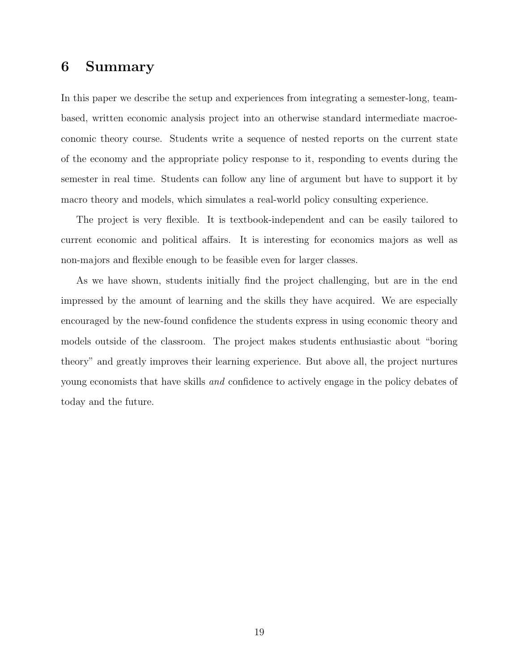## 6 Summary

In this paper we describe the setup and experiences from integrating a semester-long, teambased, written economic analysis project into an otherwise standard intermediate macroeconomic theory course. Students write a sequence of nested reports on the current state of the economy and the appropriate policy response to it, responding to events during the semester in real time. Students can follow any line of argument but have to support it by macro theory and models, which simulates a real-world policy consulting experience.

The project is very flexible. It is textbook-independent and can be easily tailored to current economic and political affairs. It is interesting for economics majors as well as non-majors and flexible enough to be feasible even for larger classes.

As we have shown, students initially find the project challenging, but are in the end impressed by the amount of learning and the skills they have acquired. We are especially encouraged by the new-found confidence the students express in using economic theory and models outside of the classroom. The project makes students enthusiastic about "boring theory" and greatly improves their learning experience. But above all, the project nurtures young economists that have skills and confidence to actively engage in the policy debates of today and the future.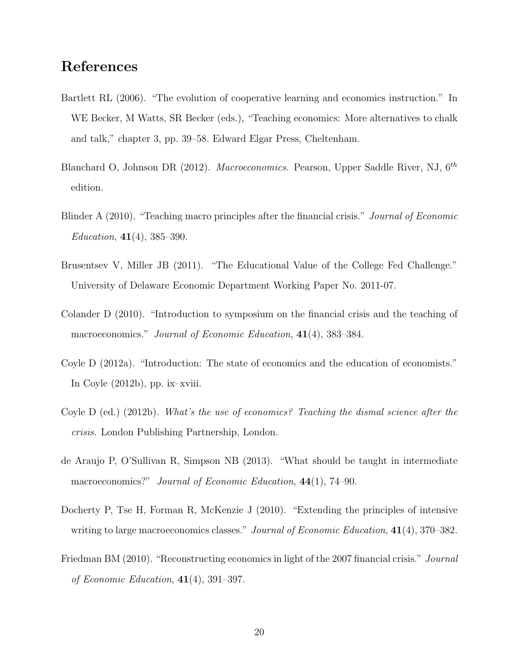## References

- Bartlett RL (2006). "The evolution of cooperative learning and economics instruction." In WE Becker, M Watts, SR Becker (eds.), "Teaching economics: More alternatives to chalk and talk," chapter 3, pp. 39–58. Edward Elgar Press, Cheltenham.
- Blanchard O, Johnson DR (2012). *Macroeconomics*. Pearson, Upper Saddle River, NJ,  $6^{th}$ edition.
- Blinder A (2010). "Teaching macro principles after the financial crisis." *Journal of Economic* Education,  $41(4)$ ,  $385-390$ .
- Brusentsev V, Miller JB (2011). "The Educational Value of the College Fed Challenge." University of Delaware Economic Department Working Paper No. 2011-07.
- Colander D (2010). "Introduction to symposium on the financial crisis and the teaching of macroeconomics." Journal of Economic Education, 41(4), 383–384.
- Coyle D (2012a). "Introduction: The state of economics and the education of economists." In Coyle (2012b), pp. ix–xviii.
- Coyle D (ed.) (2012b). What's the use of economics? Teaching the dismal science after the crisis. London Publishing Partnership, London.
- de Araujo P, O'Sullivan R, Simpson NB (2013). "What should be taught in intermediate macroeconomics?" Journal of Economic Education, 44(1), 74–90.
- Docherty P, Tse H, Forman R, McKenzie J (2010). "Extending the principles of intensive writing to large macroeconomics classes." Journal of Economic Education, 41(4), 370–382.
- Friedman BM (2010). "Reconstructing economics in light of the 2007 financial crisis." *Journal* of Economic Education, 41(4), 391–397.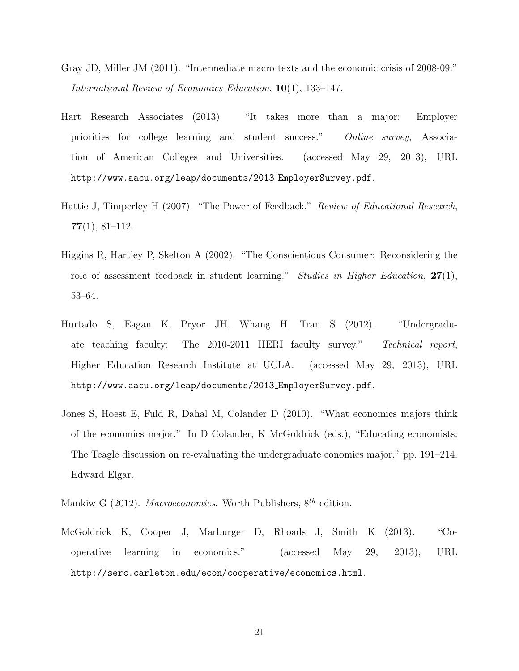- Gray JD, Miller JM (2011). "Intermediate macro texts and the economic crisis of 2008-09." International Review of Economics Education, 10(1), 133–147.
- Hart Research Associates (2013). "It takes more than a major: Employer priorities for college learning and student success." Online survey, Association of American Colleges and Universities. (accessed May 29, 2013), URL http://www.aacu.org/leap/documents/2013 EmployerSurvey.pdf.
- Hattie J, Timperley H (2007). "The Power of Feedback." Review of Educational Research,  $77(1), 81-112.$
- Higgins R, Hartley P, Skelton A (2002). "The Conscientious Consumer: Reconsidering the role of assessment feedback in student learning." Studies in Higher Education,  $27(1)$ , 53–64.
- Hurtado S, Eagan K, Pryor JH, Whang H, Tran S (2012). "Undergraduate teaching faculty: The 2010-2011 HERI faculty survey." Technical report, Higher Education Research Institute at UCLA. (accessed May 29, 2013), URL http://www.aacu.org/leap/documents/2013 EmployerSurvey.pdf.
- Jones S, Hoest E, Fuld R, Dahal M, Colander D (2010). "What economics majors think of the economics major." In D Colander, K McGoldrick (eds.), "Educating economists: The Teagle discussion on re-evaluating the undergraduate conomics major," pp. 191–214. Edward Elgar.
- Mankiw G (2012). Macroeconomics. Worth Publishers,  $8^{th}$  edition.
- McGoldrick K, Cooper J, Marburger D, Rhoads J, Smith K (2013). "Cooperative learning in economics." (accessed May 29, 2013), URL http://serc.carleton.edu/econ/cooperative/economics.html.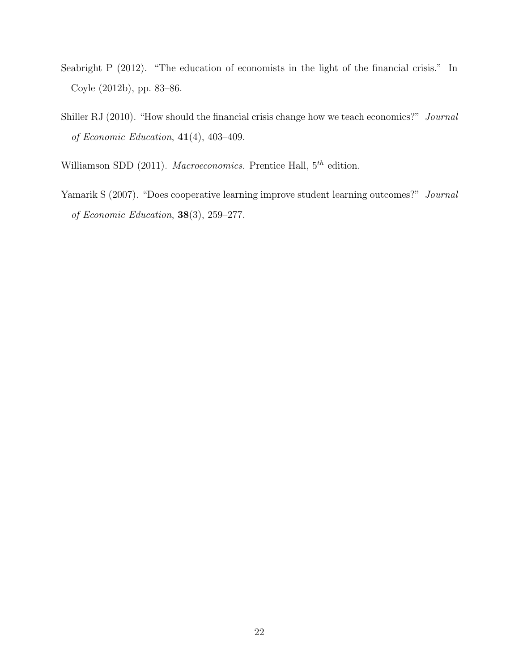- Seabright P (2012). "The education of economists in the light of the financial crisis." In Coyle (2012b), pp. 83–86.
- Shiller RJ (2010). "How should the financial crisis change how we teach economics?" Journal of Economic Education,  $41(4)$ ,  $403-409$ .
- Williamson SDD (2011). *Macroeconomics*. Prentice Hall,  $5<sup>th</sup>$  edition.
- Yamarik S (2007). "Does cooperative learning improve student learning outcomes?" Journal of Economic Education, 38(3), 259–277.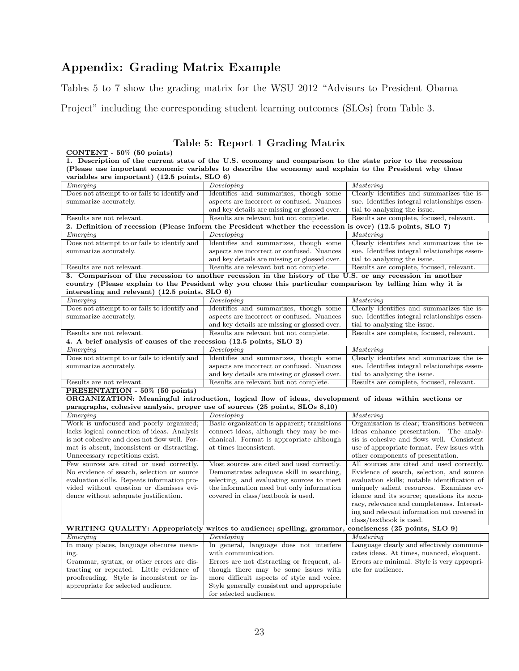## Appendix: Grading Matrix Example

Tables 5 to 7 show the grading matrix for the WSU 2012 "Advisors to President Obama

Project" including the corresponding student learning outcomes (SLOs) from Table 3.

#### Table 5: Report 1 Grading Matrix

CONTENT - 50% (50 points) 1. Description of the current state of the U.S. economy and comparison to the state prior to the recession (Please use important economic variables to describe the economy and explain to the President why these variables are important) (12.5 points, SLO 6)

| Emerging                                                                          | Developing                                                                                                  | Mastering                                                                              |  |  |  |  |  |  |
|-----------------------------------------------------------------------------------|-------------------------------------------------------------------------------------------------------------|----------------------------------------------------------------------------------------|--|--|--|--|--|--|
| Does not attempt to or fails to identify and                                      | Identifies and summarizes, though some                                                                      | Clearly identifies and summarizes the is-                                              |  |  |  |  |  |  |
| summarize accurately.                                                             | aspects are incorrect or confused. Nuances                                                                  | sue. Identifies integral relationships essen-                                          |  |  |  |  |  |  |
|                                                                                   | and key details are missing or glossed over.                                                                | tial to analyzing the issue.                                                           |  |  |  |  |  |  |
| Results are not relevant.                                                         | Results are relevant but not complete.                                                                      | Results are complete, focused, relevant.                                               |  |  |  |  |  |  |
|                                                                                   | 2. Definition of recession (Please inform the President whether the recession is over) (12.5 points, SLO 7) |                                                                                        |  |  |  |  |  |  |
| Emerging                                                                          | Developing                                                                                                  | Mastering                                                                              |  |  |  |  |  |  |
| Does not attempt to or fails to identify and                                      | Identifies and summarizes, though some                                                                      | Clearly identifies and summarizes the is-                                              |  |  |  |  |  |  |
| summarize accurately.                                                             | aspects are incorrect or confused. Nuances                                                                  | sue. Identifies integral relationships essen-                                          |  |  |  |  |  |  |
|                                                                                   | and key details are missing or glossed over.                                                                | tial to analyzing the issue.                                                           |  |  |  |  |  |  |
| Results are not relevant.                                                         | Results are relevant but not complete.                                                                      | Results are complete, focused, relevant.                                               |  |  |  |  |  |  |
|                                                                                   | 3. Comparison of the recession to another recession in the history of the U.S. or any recession in another  |                                                                                        |  |  |  |  |  |  |
|                                                                                   | country (Please explain to the President why you chose this particular comparison by telling him why it is  |                                                                                        |  |  |  |  |  |  |
| interesting and relevant) (12.5 points, SLO 6)                                    |                                                                                                             |                                                                                        |  |  |  |  |  |  |
| Emerging                                                                          | Developing                                                                                                  | Mastering                                                                              |  |  |  |  |  |  |
| Does not attempt to or fails to identify and                                      | Identifies and summarizes, though some                                                                      | Clearly identifies and summarizes the is-                                              |  |  |  |  |  |  |
| summarize accurately.                                                             | aspects are incorrect or confused. Nuances                                                                  | sue. Identifies integral relationships essen-                                          |  |  |  |  |  |  |
|                                                                                   | and key details are missing or glossed over.                                                                | tial to analyzing the issue.                                                           |  |  |  |  |  |  |
| Results are not relevant.                                                         | Results are relevant but not complete.                                                                      | Results are complete, focused, relevant.                                               |  |  |  |  |  |  |
| 4. A brief analysis of causes of the recession (12.5 points, SLO 2)               |                                                                                                             |                                                                                        |  |  |  |  |  |  |
| Emerging                                                                          | Developing                                                                                                  | Mastering                                                                              |  |  |  |  |  |  |
| Does not attempt to or fails to identify and                                      | Identifies and summarizes, though some                                                                      | Clearly identifies and summarizes the is-                                              |  |  |  |  |  |  |
| summarize accurately.                                                             | aspects are incorrect or confused. Nuances                                                                  | sue. Identifies integral relationships essen-                                          |  |  |  |  |  |  |
|                                                                                   | and key details are missing or glossed over.                                                                | tial to analyzing the issue.                                                           |  |  |  |  |  |  |
| Results are not relevant.                                                         | Results are relevant but not complete.                                                                      | Results are complete, focused, relevant.                                               |  |  |  |  |  |  |
| PRESENTATION - 50% (50 points)                                                    |                                                                                                             |                                                                                        |  |  |  |  |  |  |
|                                                                                   |                                                                                                             |                                                                                        |  |  |  |  |  |  |
|                                                                                   | ORGANIZATION: Meaningful introduction, logical flow of ideas, development of ideas within sections or       |                                                                                        |  |  |  |  |  |  |
| paragraphs, cohesive analysis, proper use of sources (25 points, SLOs 8,10)       |                                                                                                             |                                                                                        |  |  |  |  |  |  |
| Emerging                                                                          | Developing                                                                                                  | Mastering                                                                              |  |  |  |  |  |  |
| Work is unfocused and poorly organized;                                           | Basic organization is apparent; transitions                                                                 | Organization is clear; transitions between                                             |  |  |  |  |  |  |
| lacks logical connection of ideas. Analysis                                       | connect ideas, although they may be me-                                                                     | ideas enhance presentation. The analy-                                                 |  |  |  |  |  |  |
| is not cohesive and does not flow well. For-                                      | chanical. Format is appropriate although                                                                    | sis is cohesive and flows well. Consistent                                             |  |  |  |  |  |  |
| mat is absent, inconsistent or distracting.                                       | at times inconsistent.                                                                                      | use of appropriate format. Few issues with                                             |  |  |  |  |  |  |
| Unnecessary repetitions exist.                                                    |                                                                                                             | other components of presentation.                                                      |  |  |  |  |  |  |
| Few sources are cited or used correctly.                                          | Most sources are cited and used correctly.                                                                  | All sources are cited and used correctly.                                              |  |  |  |  |  |  |
| No evidence of search, selection or source                                        | Demonstrates adequate skill in searching,                                                                   | Evidence of search, selection, and source                                              |  |  |  |  |  |  |
| evaluation skills. Repeats information pro-                                       | selecting, and evaluating sources to meet                                                                   | evaluation skills; notable identification of                                           |  |  |  |  |  |  |
| vided without question or dismisses evi-<br>dence without adequate justification. | the information need but only information<br>covered in class/textbook is used.                             | uniquely salient resources. Examines ev-<br>idence and its source; questions its accu- |  |  |  |  |  |  |
|                                                                                   |                                                                                                             | racy, relevance and completeness. Interest-                                            |  |  |  |  |  |  |
|                                                                                   |                                                                                                             | ing and relevant information not covered in                                            |  |  |  |  |  |  |
|                                                                                   |                                                                                                             | $\emph{class}/\emph{textbook}$ is used.                                                |  |  |  |  |  |  |
|                                                                                   | WRITING QUALITY: Appropriately writes to audience; spelling, grammar, conciseness (25 points, SLO 9)        |                                                                                        |  |  |  |  |  |  |
| Emerging                                                                          | Developing                                                                                                  | Mastering                                                                              |  |  |  |  |  |  |
| In many places, language obscures mean-                                           | In general, language does not interfere                                                                     | Language clearly and effectively communi-                                              |  |  |  |  |  |  |
| ing.                                                                              | with communication.                                                                                         | cates ideas. At times, nuanced, eloquent.                                              |  |  |  |  |  |  |
| Grammar, syntax, or other errors are dis-                                         | Errors are not distracting or frequent, al-                                                                 | Errors are minimal. Style is very appropri-                                            |  |  |  |  |  |  |
| tracting or repeated. Little evidence of                                          | though there may be some issues with                                                                        | ate for audience.                                                                      |  |  |  |  |  |  |
| proofreading. Style is inconsistent or in-                                        | more difficult aspects of style and voice.                                                                  |                                                                                        |  |  |  |  |  |  |
| appropriate for selected audience.                                                | Style generally consistent and appropriate<br>for selected audience.                                        |                                                                                        |  |  |  |  |  |  |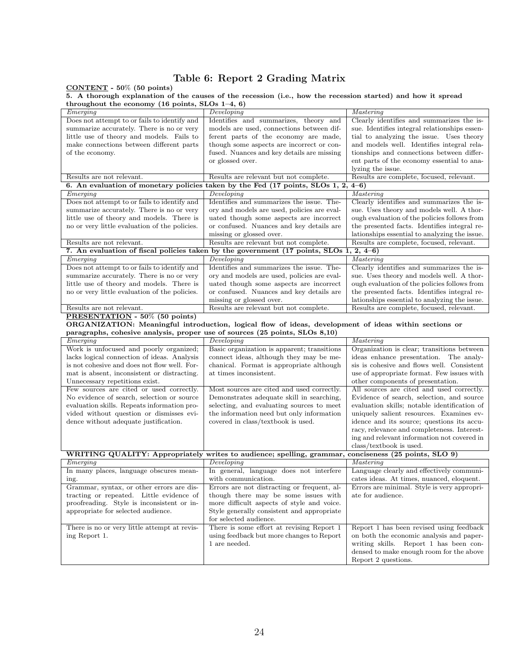#### Table 6: Report 2 Grading Matrix

#### $CONTENT - 50\% (50 points)$

|  | 5. A thorough explanation of the causes of the recession (i.e., how the recession started) and how it spread |  |  |  |  |  |  |  |
|--|--------------------------------------------------------------------------------------------------------------|--|--|--|--|--|--|--|
|  | throughout the economy (16 points, SLOs $1-4$ , 6)                                                           |  |  |  |  |  |  |  |

| throughout the economy (16 points, SLOs $1-4$ , 6)                          |                                                                                                       |                                                                 |  |  |  |  |
|-----------------------------------------------------------------------------|-------------------------------------------------------------------------------------------------------|-----------------------------------------------------------------|--|--|--|--|
| Emerging                                                                    | Developing                                                                                            | Mastering                                                       |  |  |  |  |
| Does not attempt to or fails to identify and                                | Identifies and summarizes, theory and                                                                 | Clearly identifies and summarizes the is-                       |  |  |  |  |
| summarize accurately. There is no or very                                   | models are used, connections between dif-                                                             | sue. Identifies integral relationships essen-                   |  |  |  |  |
| little use of theory and models. Fails to                                   | ferent parts of the economy are made,                                                                 | tial to analyzing the issue. Uses theory                        |  |  |  |  |
| make connections between different parts                                    | though some aspects are incorrect or con-                                                             | and models well. Identifies integral rela-                      |  |  |  |  |
| of the economy.                                                             | fused. Nuances and key details are missing                                                            | tionships and connections between differ-                       |  |  |  |  |
|                                                                             | or glossed over.                                                                                      | ent parts of the economy essential to ana-                      |  |  |  |  |
|                                                                             |                                                                                                       | lyzing the issue.                                               |  |  |  |  |
| Results are not relevant.                                                   | Results are relevant but not complete.                                                                | Results are complete, focused, relevant.                        |  |  |  |  |
|                                                                             | 6. An evaluation of monetary policies taken by the Fed (17 points, SLOs 1, 2,                         | $4 - 6$                                                         |  |  |  |  |
| Emerging                                                                    | Developing                                                                                            | Mastering                                                       |  |  |  |  |
| Does not attempt to or fails to identify and                                | Identifies and summarizes the issue. The-                                                             | Clearly identifies and summarizes the is-                       |  |  |  |  |
| summarize accurately. There is no or very                                   | ory and models are used, policies are eval-                                                           | sue. Uses theory and models well. A thor-                       |  |  |  |  |
| little use of theory and models. There is                                   | uated though some aspects are incorrect                                                               | ough evaluation of the policies follows from                    |  |  |  |  |
| no or very little evaluation of the policies.                               | or confused. Nuances and key details are                                                              | the presented facts. Identifies integral re-                    |  |  |  |  |
|                                                                             | missing or glossed over.                                                                              | lationships essential to analyzing the issue.                   |  |  |  |  |
| Results are not relevant.                                                   | Results are relevant but not complete.                                                                | Results are complete, focused, relevant.                        |  |  |  |  |
|                                                                             | 7. An evaluation of fiscal policies taken by the government $(17 \text{ points}, SLOs 1, 2, 4-6)$     |                                                                 |  |  |  |  |
| Emerging                                                                    | Developing                                                                                            | Mastering                                                       |  |  |  |  |
| Does not attempt to or fails to identify and                                | Identifies and summarizes the issue. The-                                                             | Clearly identifies and summarizes the is-                       |  |  |  |  |
| summarize accurately. There is no or very                                   | ory and models are used, policies are eval-                                                           | sue. Uses theory and models well. A thor-                       |  |  |  |  |
| little use of theory and models. There is                                   | uated though some aspects are incorrect                                                               | ough evaluation of the policies follows from                    |  |  |  |  |
| no or very little evaluation of the policies.                               | or confused. Nuances and key details are                                                              | the presented facts. Identifies integral re-                    |  |  |  |  |
|                                                                             | missing or glossed over.                                                                              | lationships essential to analyzing the issue.                   |  |  |  |  |
| Results are not relevant.                                                   | Results are relevant but not complete.                                                                | Results are complete, focused, relevant.                        |  |  |  |  |
| PRESENTATION - 50% (50 points)                                              |                                                                                                       |                                                                 |  |  |  |  |
|                                                                             | ORGANIZATION: Meaningful introduction, logical flow of ideas, development of ideas within sections or |                                                                 |  |  |  |  |
| paragraphs, cohesive analysis, proper use of sources (25 points, SLOs 8,10) |                                                                                                       |                                                                 |  |  |  |  |
| Emerging                                                                    | Developing                                                                                            | Mastering                                                       |  |  |  |  |
|                                                                             |                                                                                                       |                                                                 |  |  |  |  |
|                                                                             |                                                                                                       |                                                                 |  |  |  |  |
| Work is unfocused and poorly organized;                                     | Basic organization is apparent; transitions                                                           | Organization is clear; transitions between                      |  |  |  |  |
| lacks logical connection of ideas. Analysis                                 | connect ideas, although they may be me-                                                               | ideas enhance presentation. The analy-                          |  |  |  |  |
| is not cohesive and does not flow well. For-                                | chanical. Format is appropriate although                                                              | sis is cohesive and flows well. Consistent                      |  |  |  |  |
| mat is absent, inconsistent or distracting.                                 | at times inconsistent.                                                                                | use of appropriate format. Few issues with                      |  |  |  |  |
| Unnecessary repetitions exist.                                              |                                                                                                       | other components of presentation.                               |  |  |  |  |
| Few sources are cited or used correctly.                                    | Most sources are cited and used correctly.                                                            | All sources are cited and used correctly.                       |  |  |  |  |
| No evidence of search, selection or source                                  | Demonstrates adequate skill in searching,                                                             | Evidence of search, selection, and source                       |  |  |  |  |
| evaluation skills. Repeats information pro-                                 | selecting, and evaluating sources to meet                                                             | evaluation skills; notable identification of                    |  |  |  |  |
| vided without question or dismisses evi-                                    | the information need but only information                                                             | uniquely salient resources. Examines ev-                        |  |  |  |  |
| dence without adequate justification.                                       | covered in class/textbook is used.                                                                    | idence and its source; questions its accu-                      |  |  |  |  |
|                                                                             |                                                                                                       | racy, relevance and completeness. Interest-                     |  |  |  |  |
|                                                                             |                                                                                                       | ing and relevant information not covered in                     |  |  |  |  |
|                                                                             |                                                                                                       | class/textbook is used.                                         |  |  |  |  |
|                                                                             | WRITING QUALITY: Appropriately writes to audience; spelling, grammar, conciseness (25 points, SLO 9)  |                                                                 |  |  |  |  |
| Emerging                                                                    | Developing                                                                                            | Mastering                                                       |  |  |  |  |
| In many places, language obscures mean-                                     | In general, language does not interfere                                                               | Language clearly and effectively communi-                       |  |  |  |  |
| ing.                                                                        | with communication.                                                                                   | cates ideas. At times, nuanced, eloquent.                       |  |  |  |  |
| Grammar, syntax, or other errors are dis-                                   | Errors are not distracting or frequent, al-                                                           | Errors are minimal. Style is very appropri-                     |  |  |  |  |
| tracting or repeated. Little evidence of                                    | though there may be some issues with                                                                  | ate for audience.                                               |  |  |  |  |
| proofreading. Style is inconsistent or in-                                  | more difficult aspects of style and voice.                                                            |                                                                 |  |  |  |  |
| appropriate for selected audience.                                          | Style generally consistent and appropriate                                                            |                                                                 |  |  |  |  |
|                                                                             | for selected audience.                                                                                |                                                                 |  |  |  |  |
| There is no or very little attempt at revis-                                | There is some effort at revising Report 1                                                             | Report 1 has been revised using feedback                        |  |  |  |  |
| ing Report 1.                                                               | using feedback but more changes to Report                                                             | on both the economic analysis and paper-                        |  |  |  |  |
|                                                                             | 1 are needed.                                                                                         | writing skills. Report 1 has been con-                          |  |  |  |  |
|                                                                             |                                                                                                       | densed to make enough room for the above<br>Report 2 questions. |  |  |  |  |